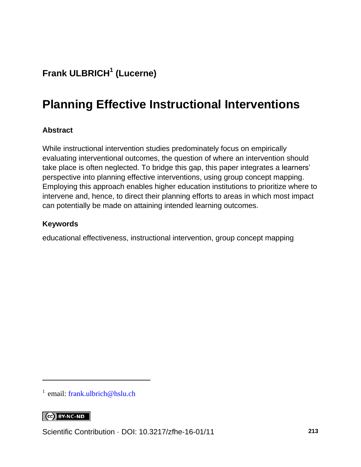## **Frank ULBRICH<sup>1</sup> (Lucerne)**

# **Planning Effective Instructional Interventions**

#### **Abstract**

While instructional intervention studies predominately focus on empirically evaluating interventional outcomes, the question of where an intervention should take place is often neglected. To bridge this gap, this paper integrates a learners' perspective into planning effective interventions, using group concept mapping. Employing this approach enables higher education institutions to prioritize where to intervene and, hence, to direct their planning efforts to areas in which most impact can potentially be made on attaining intended learning outcomes.

#### **Keywords**

educational effectiveness, instructional intervention, group concept mapping

#### CC BY-NC-ND

l

<sup>&</sup>lt;sup>1</sup> email: [frank.ulbrich@hslu.ch](mailto:frank.ulbrich@hslu.ch)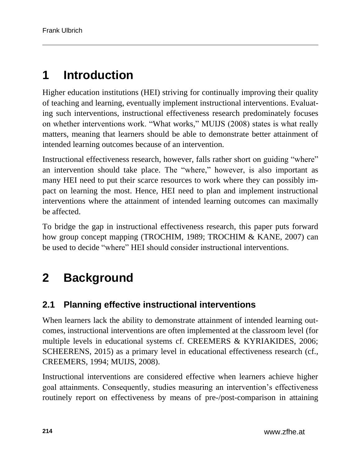# **1 Introduction**

Higher education institutions (HEI) striving for continually improving their quality of teaching and learning, eventually implement instructional interventions. Evaluating such interventions, instructional effectiveness research predominately focuses on whether interventions work. "What works," MUIJS (2008) states is what really matters, meaning that learners should be able to demonstrate better attainment of intended learning outcomes because of an intervention.

Instructional effectiveness research, however, falls rather short on guiding "where" an intervention should take place. The "where," however, is also important as many HEI need to put their scarce resources to work where they can possibly impact on learning the most. Hence, HEI need to plan and implement instructional interventions where the attainment of intended learning outcomes can maximally be affected.

To bridge the gap in instructional effectiveness research, this paper puts forward how group concept mapping (TROCHIM, 1989; TROCHIM & KANE, 2007) can be used to decide "where" HEI should consider instructional interventions.

# **2 Background**

## **2.1 Planning effective instructional interventions**

When learners lack the ability to demonstrate attainment of intended learning outcomes, instructional interventions are often implemented at the classroom level (for multiple levels in educational systems cf. CREEMERS & KYRIAKIDES, 2006; SCHEERENS, 2015) as a primary level in educational effectiveness research (cf., CREEMERS, 1994; MUIJS, 2008).

Instructional interventions are considered effective when learners achieve higher goal attainments. Consequently, studies measuring an intervention's effectiveness routinely report on effectiveness by means of pre-/post-comparison in attaining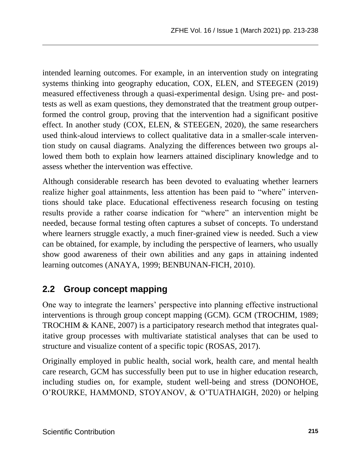intended learning outcomes. For example, in an intervention study on integrating systems thinking into geography education, COX, ELEN, and STEEGEN (2019) measured effectiveness through a quasi-experimental design. Using pre- and posttests as well as exam questions, they demonstrated that the treatment group outperformed the control group, proving that the intervention had a significant positive effect. In another study (COX, ELEN, & STEEGEN, 2020), the same researchers used think-aloud interviews to collect qualitative data in a smaller-scale intervention study on causal diagrams. Analyzing the differences between two groups allowed them both to explain how learners attained disciplinary knowledge and to assess whether the intervention was effective.

Although considerable research has been devoted to evaluating whether learners realize higher goal attainments, less attention has been paid to "where" interventions should take place. Educational effectiveness research focusing on testing results provide a rather coarse indication for "where" an intervention might be needed, because formal testing often captures a subset of concepts. To understand where learners struggle exactly, a much finer-grained view is needed. Such a view can be obtained, for example, by including the perspective of learners, who usually show good awareness of their own abilities and any gaps in attaining indented learning outcomes (ANAYA, 1999; BENBUNAN-FICH, 2010).

## **2.2 Group concept mapping**

One way to integrate the learners' perspective into planning effective instructional interventions is through group concept mapping (GCM). GCM (TROCHIM, 1989; TROCHIM & KANE, 2007) is a participatory research method that integrates qualitative group processes with multivariate statistical analyses that can be used to structure and visualize content of a specific topic (ROSAS, 2017).

Originally employed in public health, social work, health care, and mental health care research, GCM has successfully been put to use in higher education research, including studies on, for example, student well-being and stress (DONOHOE, O'ROURKE, HAMMOND, STOYANOV, & O'TUATHAIGH, 2020) or helping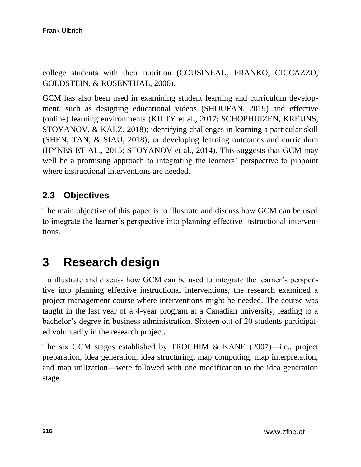college students with their nutrition (COUSINEAU, FRANKO, CICCAZZO, GOLDSTEIN, & ROSENTHAL, 2006).

GCM has also been used in examining student learning and curriculum development, such as designing educational videos (SHOUFAN, 2019) and effective (online) learning environments (KILTY et al., 2017; SCHOPHUIZEN, KREIJNS, STOYANOV, & KALZ, 2018); identifying challenges in learning a particular skill (SHEN, TAN, & SIAU, 2018); or developing learning outcomes and curriculum (HYNES ET AL., 2015; STOYANOV et al., 2014). This suggests that GCM may well be a promising approach to integrating the learners' perspective to pinpoint where instructional interventions are needed.

## **2.3 Objectives**

The main objective of this paper is to illustrate and discuss how GCM can be used to integrate the learner's perspective into planning effective instructional interventions.

## **3 Research design**

To illustrate and discuss how GCM can be used to integrate the learner's perspective into planning effective instructional interventions, the research examined a project management course where interventions might be needed. The course was taught in the last year of a 4-year program at a Canadian university, leading to a bachelor's degree in business administration. Sixteen out of 20 students participated voluntarily in the research project.

The six GCM stages established by TROCHIM & KANE (2007)—i.e., project preparation, idea generation, idea structuring, map computing, map interpretation, and map utilization—were followed with one modification to the idea generation stage.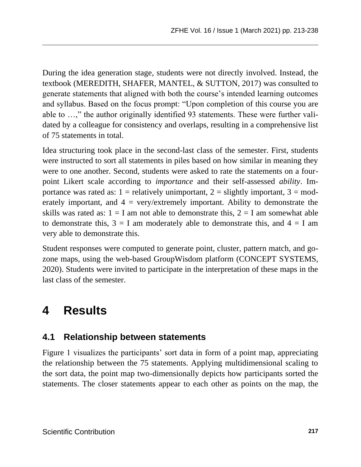During the idea generation stage, students were not directly involved. Instead, the textbook (MEREDITH, SHAFER, MANTEL, & SUTTON, 2017) was consulted to generate statements that aligned with both the course's intended learning outcomes and syllabus. Based on the focus prompt: "Upon completion of this course you are able to …," the author originally identified 93 statements. These were further validated by a colleague for consistency and overlaps, resulting in a comprehensive list of 75 statements in total.

Idea structuring took place in the second-last class of the semester. First, students were instructed to sort all statements in piles based on how similar in meaning they were to one another. Second, students were asked to rate the statements on a fourpoint Likert scale according to *importance* and their self-assessed *ability*. Importance was rated as:  $1 =$  relatively unimportant,  $2 =$  slightly important,  $3 =$  moderately important, and  $4 = \text{very/extremely important}$ . Ability to demonstrate the skills was rated as:  $1 = I$  am not able to demonstrate this,  $2 = I$  am somewhat able to demonstrate this,  $3 = I$  am moderately able to demonstrate this, and  $4 = I$  am very able to demonstrate this.

Student responses were computed to generate point, cluster, pattern match, and gozone maps, using the web-based GroupWisdom platform (CONCEPT SYSTEMS, 2020). Students were invited to participate in the interpretation of these maps in the last class of the semester.

## **4 Results**

### **4.1 Relationship between statements**

Figure 1 visualizes the participants' sort data in form of a point map, appreciating the relationship between the 75 statements. Applying multidimensional scaling to the sort data, the point map two-dimensionally depicts how participants sorted the statements. The closer statements appear to each other as points on the map, the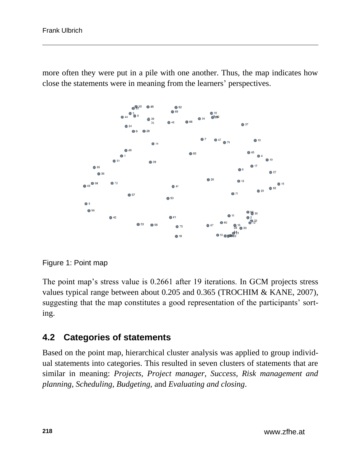more often they were put in a pile with one another. Thus, the map indicates how close the statements were in meaning from the learners' perspectives.



Figure 1: Point map

The point map's stress value is 0.2661 after 19 iterations. In GCM projects stress values typical range between about 0.205 and 0.365 (TROCHIM & KANE, 2007), suggesting that the map constitutes a good representation of the participants' sorting.

### **4.2 Categories of statements**

Based on the point map, hierarchical cluster analysis was applied to group individual statements into categories. This resulted in seven clusters of statements that are similar in meaning: *Projects, Project manager, Success, Risk management and planning, Scheduling, Budgeting,* and *Evaluating and closing*.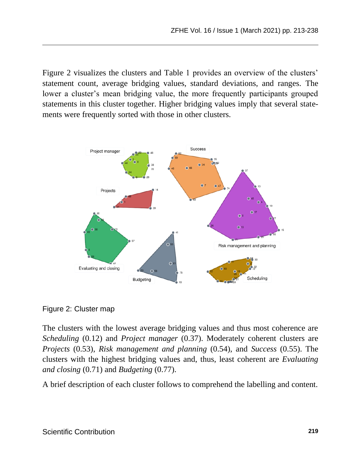Figure 2 visualizes the clusters and Table 1 provides an overview of the clusters' statement count, average bridging values, standard deviations, and ranges. The lower a cluster's mean bridging value, the more frequently participants grouped statements in this cluster together. Higher bridging values imply that several statements were frequently sorted with those in other clusters.



Figure 2: Cluster map

The clusters with the lowest average bridging values and thus most coherence are *Scheduling* (0.12) and *Project manager* (0.37). Moderately coherent clusters are *Projects* (0.53), *Risk management and planning* (0.54), and *Success* (0.55). The clusters with the highest bridging values and, thus, least coherent are *Evaluating and closing* (0.71) and *Budgeting* (0.77).

A brief description of each cluster follows to comprehend the labelling and content.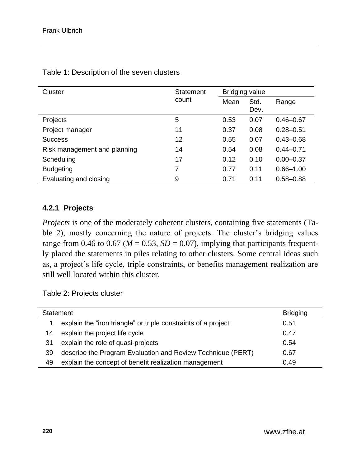| Cluster                      | Statement | <b>Bridging value</b> |              |               |
|------------------------------|-----------|-----------------------|--------------|---------------|
|                              | count     | Mean                  | Std.<br>Dev. | Range         |
| Projects                     | 5         | 0.53                  | 0.07         | $0.46 - 0.67$ |
| Project manager              | 11        | 0.37                  | 0.08         | $0.28 - 0.51$ |
| <b>Success</b>               | 12        | 0.55                  | 0.07         | $0.43 - 0.68$ |
| Risk management and planning | 14        | 0.54                  | 0.08         | $0.44 - 0.71$ |
| Scheduling                   | 17        | 0.12                  | 0.10         | $0.00 - 0.37$ |
| <b>Budgeting</b>             | 7         | 0.77                  | 0.11         | $0.66 - 1.00$ |
| Evaluating and closing       | 9         | 0.71                  | 0.11         | $0.58 - 0.88$ |

Table 1: Description of the seven clusters

#### **4.2.1 Projects**

*Projects* is one of the moderately coherent clusters, containing five statements (Table 2), mostly concerning the nature of projects. The cluster's bridging values range from 0.46 to 0.67 ( $M = 0.53$ ,  $SD = 0.07$ ), implying that participants frequently placed the statements in piles relating to other clusters. Some central ideas such as, a project's life cycle, triple constraints, or benefits management realization are still well located within this cluster.

Table 2: Projects cluster

| Statement |                                                                | <b>Bridging</b> |
|-----------|----------------------------------------------------------------|-----------------|
|           | explain the "iron triangle" or triple constraints of a project | 0.51            |
| 14        | explain the project life cycle                                 | 0.47            |
| 31        | explain the role of quasi-projects                             | 0.54            |
| 39        | describe the Program Evaluation and Review Technique (PERT)    | 0.67            |
| 49        | explain the concept of benefit realization management          | 0.49            |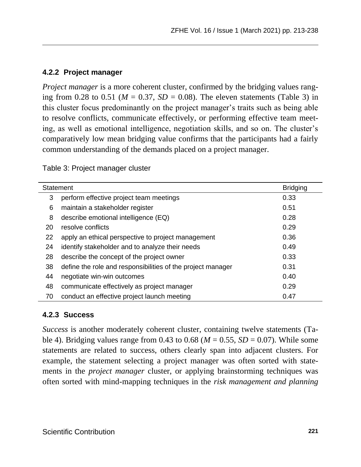#### **4.2.2 Project manager**

*Project manager* is a more coherent cluster, confirmed by the bridging values ranging from 0.28 to 0.51 ( $M = 0.37$ ,  $SD = 0.08$ ). The eleven statements (Table 3) in this cluster focus predominantly on the project manager's traits such as being able to resolve conflicts, communicate effectively, or performing effective team meeting, as well as emotional intelligence, negotiation skills, and so on. The cluster's comparatively low mean bridging value confirms that the participants had a fairly common understanding of the demands placed on a project manager.

Table 3: Project manager cluster

| Statement |                                                             | <b>Bridging</b> |
|-----------|-------------------------------------------------------------|-----------------|
| 3         | perform effective project team meetings                     | 0.33            |
| 6         | maintain a stakeholder register                             | 0.51            |
| 8         | describe emotional intelligence (EQ)                        | 0.28            |
| 20        | resolve conflicts                                           | 0.29            |
| 22        | apply an ethical perspective to project management          | 0.36            |
| 24        | identify stakeholder and to analyze their needs             | 0.49            |
| 28        | describe the concept of the project owner                   | 0.33            |
| 38        | define the role and responsibilities of the project manager | 0.31            |
| 44        | negotiate win-win outcomes                                  | 0.40            |
| 48        | communicate effectively as project manager                  | 0.29            |
| 70        | conduct an effective project launch meeting                 | 0.47            |

#### **4.2.3 Success**

*Success* is another moderately coherent cluster, containing twelve statements (Table 4). Bridging values range from 0.43 to 0.68 ( $M = 0.55$ ,  $SD = 0.07$ ). While some statements are related to success, others clearly span into adjacent clusters. For example, the statement selecting a project manager was often sorted with statements in the *project manager* cluster, or applying brainstorming techniques was often sorted with mind-mapping techniques in the *risk management and planning*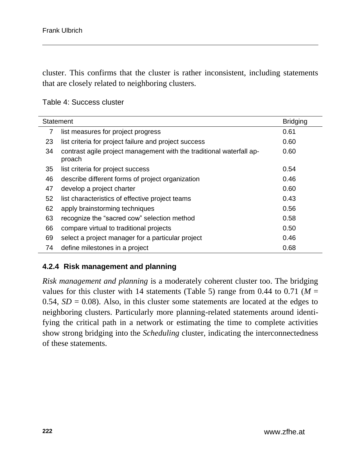cluster. This confirms that the cluster is rather inconsistent, including statements that are closely related to neighboring clusters.

#### Table 4: Success cluster

| Statement | <b>Bridging</b>                                                                |      |
|-----------|--------------------------------------------------------------------------------|------|
| 7         | list measures for project progress                                             | 0.61 |
| 23        | list criteria for project failure and project success                          | 0.60 |
| 34        | contrast agile project management with the traditional waterfall ap-<br>proach | 0.60 |
| 35        | list criteria for project success                                              | 0.54 |
| 46        | describe different forms of project organization                               | 0.46 |
| 47        | develop a project charter                                                      | 0.60 |
| 52        | list characteristics of effective project teams                                | 0.43 |
| 62        | apply brainstorming techniques                                                 | 0.56 |
| 63        | recognize the "sacred cow" selection method                                    | 0.58 |
| 66        | compare virtual to traditional projects                                        | 0.50 |
| 69        | select a project manager for a particular project                              | 0.46 |
| 74        | define milestones in a project                                                 | 0.68 |

#### **4.2.4 Risk management and planning**

*Risk management and planning* is a moderately coherent cluster too. The bridging values for this cluster with 14 statements (Table 5) range from 0.44 to 0.71 ( $M =$ 0.54,  $SD = 0.08$ ). Also, in this cluster some statements are located at the edges to neighboring clusters. Particularly more planning-related statements around identifying the critical path in a network or estimating the time to complete activities show strong bridging into the *Scheduling* cluster, indicating the interconnectedness of these statements.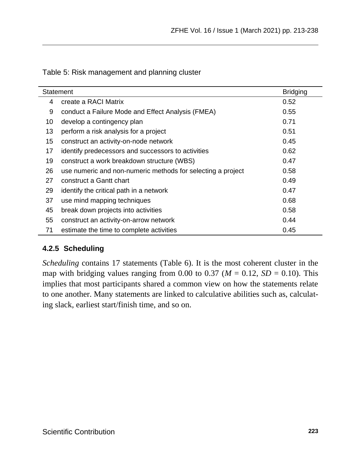| Statement |                                                             |      |
|-----------|-------------------------------------------------------------|------|
| 4         | create a RACI Matrix                                        | 0.52 |
| 9         | conduct a Failure Mode and Effect Analysis (FMEA)           | 0.55 |
| 10        | develop a contingency plan                                  | 0.71 |
| 13        | perform a risk analysis for a project                       | 0.51 |
| 15        | construct an activity-on-node network                       | 0.45 |
| 17        | identify predecessors and successors to activities          | 0.62 |
| 19        | construct a work breakdown structure (WBS)                  | 0.47 |
| 26        | use numeric and non-numeric methods for selecting a project | 0.58 |
| 27        | construct a Gantt chart                                     | 0.49 |
| 29        | identify the critical path in a network                     | 0.47 |
| 37        | use mind mapping techniques                                 | 0.68 |
| 45        | break down projects into activities                         | 0.58 |
| 55        | construct an activity-on-arrow network                      | 0.44 |
| 71        | estimate the time to complete activities                    | 0.45 |

Table 5: Risk management and planning cluster

#### **4.2.5 Scheduling**

*Scheduling* contains 17 statements (Table 6). It is the most coherent cluster in the map with bridging values ranging from 0.00 to 0.37 ( $M = 0.12$ ,  $SD = 0.10$ ). This implies that most participants shared a common view on how the statements relate to one another. Many statements are linked to calculative abilities such as, calculating slack, earliest start/finish time, and so on.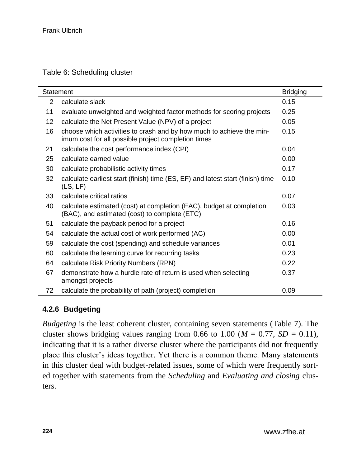Table 6: Scheduling cluster

| Statement | <b>Bridging</b>                                                                                                             |      |
|-----------|-----------------------------------------------------------------------------------------------------------------------------|------|
| 2         | calculate slack                                                                                                             | 0.15 |
| 11        | evaluate unweighted and weighted factor methods for scoring projects                                                        | 0.25 |
| 12        | calculate the Net Present Value (NPV) of a project                                                                          | 0.05 |
| 16        | choose which activities to crash and by how much to achieve the min-<br>imum cost for all possible project completion times | 0.15 |
| 21        | calculate the cost performance index (CPI)                                                                                  | 0.04 |
| 25        | calculate earned value                                                                                                      | 0.00 |
| 30        | calculate probabilistic activity times                                                                                      | 0.17 |
| 32        | calculate earliest start (finish) time (ES, EF) and latest start (finish) time<br>(LS, LF)                                  | 0.10 |
| 33        | calculate critical ratios                                                                                                   | 0.07 |
| 40        | calculate estimated (cost) at completion (EAC), budget at completion<br>(BAC), and estimated (cost) to complete (ETC)       | 0.03 |
| 51        | calculate the payback period for a project                                                                                  | 0.16 |
| 54        | calculate the actual cost of work performed (AC)                                                                            | 0.00 |
| 59        | calculate the cost (spending) and schedule variances                                                                        | 0.01 |
| 60        | calculate the learning curve for recurring tasks                                                                            | 0.23 |
| 64        | calculate Risk Priority Numbers (RPN)                                                                                       | 0.22 |
| 67        | demonstrate how a hurdle rate of return is used when selecting<br>amongst projects                                          | 0.37 |
| 72        | calculate the probability of path (project) completion                                                                      | 0.09 |

#### **4.2.6 Budgeting**

*Budgeting* is the least coherent cluster, containing seven statements (Table 7). The cluster shows bridging values ranging from 0.66 to 1.00 ( $M = 0.77$ ,  $SD = 0.11$ ), indicating that it is a rather diverse cluster where the participants did not frequently place this cluster's ideas together. Yet there is a common theme. Many statements in this cluster deal with budget-related issues, some of which were frequently sorted together with statements from the *Scheduling* and *Evaluating and closing* clusters.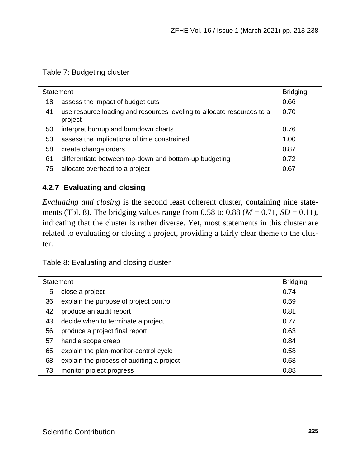#### Table 7: Budgeting cluster

| Statement |                                                                                   | <b>Bridging</b> |
|-----------|-----------------------------------------------------------------------------------|-----------------|
| 18        | assess the impact of budget cuts                                                  | 0.66            |
| 41        | use resource loading and resources leveling to allocate resources to a<br>project | 0.70            |
| 50        | interpret burnup and burndown charts                                              | 0.76            |
| 53        | assess the implications of time constrained                                       | 1.00            |
| 58        | create change orders                                                              | 0.87            |
| 61        | differentiate between top-down and bottom-up budgeting                            | 0.72            |
| 75        | allocate overhead to a project                                                    | 0.67            |

#### **4.2.7 Evaluating and closing**

*Evaluating and closing* is the second least coherent cluster, containing nine statements (Tbl. 8). The bridging values range from 0.58 to 0.88 ( $M = 0.71$ ,  $SD = 0.11$ ), indicating that the cluster is rather diverse. Yet, most statements in this cluster are related to evaluating or closing a project, providing a fairly clear theme to the cluster.

Table 8: Evaluating and closing cluster

| Statement |                                           | <b>Bridging</b> |
|-----------|-------------------------------------------|-----------------|
| 5         | close a project                           | 0.74            |
| 36        | explain the purpose of project control    | 0.59            |
| 42        | produce an audit report                   | 0.81            |
| 43        | decide when to terminate a project        | 0.77            |
| 56        | produce a project final report            | 0.63            |
| 57        | handle scope creep                        | 0.84            |
| 65        | explain the plan-monitor-control cycle    | 0.58            |
| 68        | explain the process of auditing a project | 0.58            |
| 73        | monitor project progress                  | 0.88            |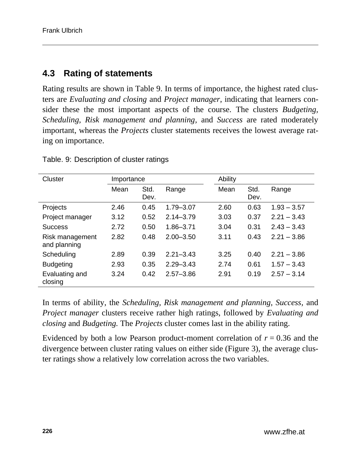### **4.3 Rating of statements**

Rating results are shown in Table 9. In terms of importance, the highest rated clusters are *Evaluating and closing* and *Project manager*, indicating that learners consider these the most important aspects of the course. The clusters *Budgeting, Scheduling, Risk management and planning,* and *Success* are rated moderately important, whereas the *Projects* cluster statements receives the lowest average rating on importance.

| Cluster                         | Importance |              | Ability       |      |              |               |
|---------------------------------|------------|--------------|---------------|------|--------------|---------------|
|                                 | Mean       | Std.<br>Dev. | Range         | Mean | Std.<br>Dev. | Range         |
| Projects                        | 2.46       | 0.45         | 1.79-3.07     | 2.60 | 0.63         | $1.93 - 3.57$ |
| Project manager                 | 3.12       | 0.52         | $2.14 - 3.79$ | 3.03 | 0.37         | $2.21 - 3.43$ |
| <b>Success</b>                  | 2.72       | 0.50         | $1.86 - 3.71$ | 3.04 | 0.31         | $2.43 - 3.43$ |
| Risk management<br>and planning | 2.82       | 0.48         | $2.00 - 3.50$ | 3.11 | 0.43         | $2.21 - 3.86$ |
| Scheduling                      | 2.89       | 0.39         | $2.21 - 3.43$ | 3.25 | 0.40         | $2.21 - 3.86$ |
| <b>Budgeting</b>                | 2.93       | 0.35         | $2.29 - 3.43$ | 2.74 | 0.61         | $1.57 - 3.43$ |
| Evaluating and<br>closing       | 3.24       | 0.42         | $2.57 - 3.86$ | 2.91 | 0.19         | $2.57 - 3.14$ |

Table. 9: Description of cluster ratings

In terms of ability, the *Scheduling, Risk management and planning, Success,* and *Project manager* clusters receive rather high ratings, followed by *Evaluating and closing* and *Budgeting.* The *Projects* cluster comes last in the ability rating.

Evidenced by both a low Pearson product-moment correlation of  $r = 0.36$  and the divergence between cluster rating values on either side (Figure 3), the average cluster ratings show a relatively low correlation across the two variables.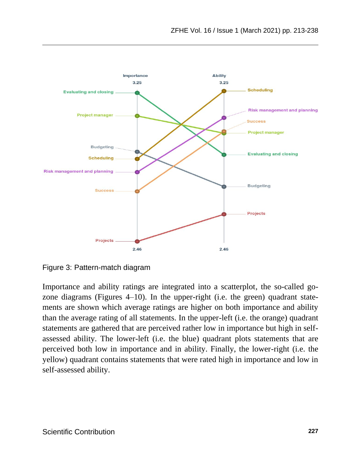

Figure 3: Pattern-match diagram

Importance and ability ratings are integrated into a scatterplot, the so-called gozone diagrams (Figures 4–10). In the upper-right (i.e. the green) quadrant statements are shown which average ratings are higher on both importance and ability than the average rating of all statements. In the upper-left (i.e. the orange) quadrant statements are gathered that are perceived rather low in importance but high in selfassessed ability. The lower-left (i.e. the blue) quadrant plots statements that are perceived both low in importance and in ability. Finally, the lower-right (i.e. the yellow) quadrant contains statements that were rated high in importance and low in self-assessed ability.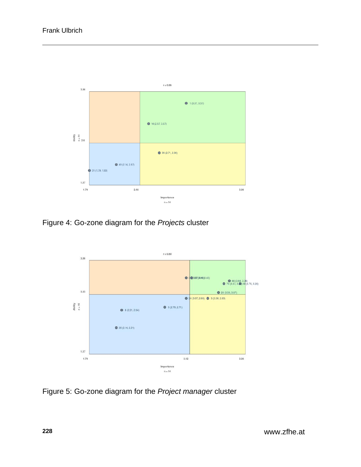

Figure 4: Go-zone diagram for the *Projects* cluster



Figure 5: Go-zone diagram for the *Project manager* cluster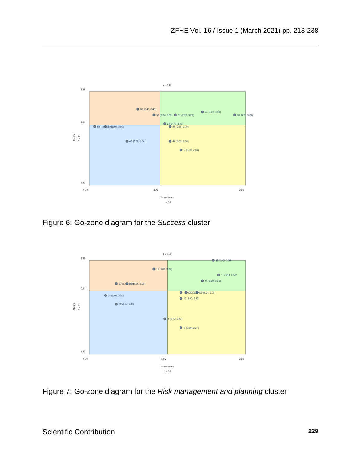

Figure 6: Go-zone diagram for the *Success* cluster



Figure 7: Go-zone diagram for the *Risk management and planning* cluster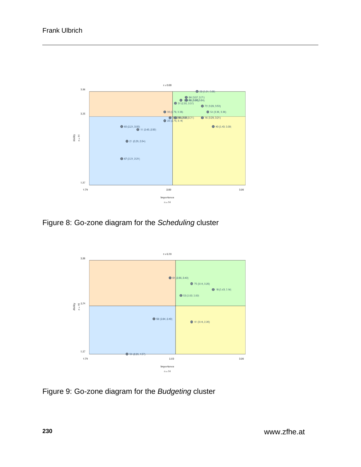

Figure 8: Go-zone diagram for the *Scheduling* cluster



Figure 9: Go-zone diagram for the *Budgeting* cluster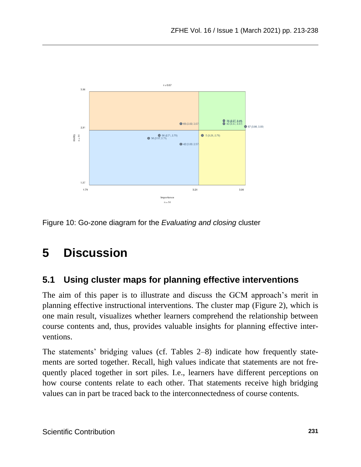![](_page_18_Figure_1.jpeg)

Figure 10: Go-zone diagram for the *Evaluating and closing* cluster

# **5 Discussion**

### **5.1 Using cluster maps for planning effective interventions**

The aim of this paper is to illustrate and discuss the GCM approach's merit in planning effective instructional interventions. The cluster map (Figure 2), which is one main result, visualizes whether learners comprehend the relationship between course contents and, thus, provides valuable insights for planning effective interventions.

The statements' bridging values (cf. Tables 2–8) indicate how frequently statements are sorted together. Recall, high values indicate that statements are not frequently placed together in sort piles. I.e., learners have different perceptions on how course contents relate to each other. That statements receive high bridging values can in part be traced back to the interconnectedness of course contents.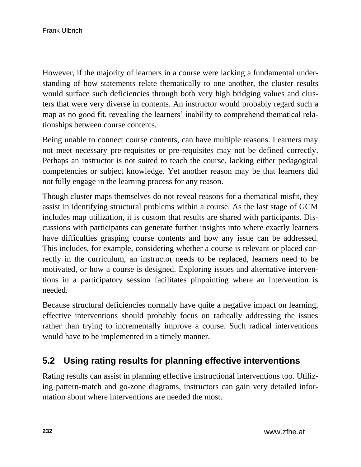However, if the majority of learners in a course were lacking a fundamental understanding of how statements relate thematically to one another, the cluster results would surface such deficiencies through both very high bridging values and clusters that were very diverse in contents. An instructor would probably regard such a map as no good fit, revealing the learners' inability to comprehend thematical relationships between course contents.

Being unable to connect course contents, can have multiple reasons. Learners may not meet necessary pre-requisites or pre-requisites may not be defined correctly. Perhaps an instructor is not suited to teach the course, lacking either pedagogical competencies or subject knowledge. Yet another reason may be that learners did not fully engage in the learning process for any reason.

Though cluster maps themselves do not reveal reasons for a thematical misfit, they assist in identifying structural problems within a course. As the last stage of GCM includes map utilization, it is custom that results are shared with participants. Discussions with participants can generate further insights into where exactly learners have difficulties grasping course contents and how any issue can be addressed. This includes, for example, considering whether a course is relevant or placed correctly in the curriculum, an instructor needs to be replaced, learners need to be motivated, or how a course is designed. Exploring issues and alternative interventions in a participatory session facilitates pinpointing where an intervention is needed.

Because structural deficiencies normally have quite a negative impact on learning, effective interventions should probably focus on radically addressing the issues rather than trying to incrementally improve a course. Such radical interventions would have to be implemented in a timely manner.

### **5.2 Using rating results for planning effective interventions**

Rating results can assist in planning effective instructional interventions too. Utilizing pattern-match and go-zone diagrams, instructors can gain very detailed information about where interventions are needed the most.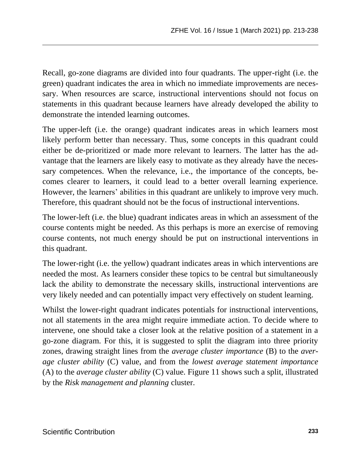Recall, go-zone diagrams are divided into four quadrants. The upper-right (i.e. the green) quadrant indicates the area in which no immediate improvements are necessary. When resources are scarce, instructional interventions should not focus on statements in this quadrant because learners have already developed the ability to demonstrate the intended learning outcomes.

The upper-left (i.e. the orange) quadrant indicates areas in which learners most likely perform better than necessary. Thus, some concepts in this quadrant could either be de-prioritized or made more relevant to learners. The latter has the advantage that the learners are likely easy to motivate as they already have the necessary competences. When the relevance, i.e., the importance of the concepts, becomes clearer to learners, it could lead to a better overall learning experience. However, the learners' abilities in this quadrant are unlikely to improve very much. Therefore, this quadrant should not be the focus of instructional interventions.

The lower-left (i.e. the blue) quadrant indicates areas in which an assessment of the course contents might be needed. As this perhaps is more an exercise of removing course contents, not much energy should be put on instructional interventions in this quadrant.

The lower-right (i.e. the yellow) quadrant indicates areas in which interventions are needed the most. As learners consider these topics to be central but simultaneously lack the ability to demonstrate the necessary skills, instructional interventions are very likely needed and can potentially impact very effectively on student learning.

Whilst the lower-right quadrant indicates potentials for instructional interventions, not all statements in the area might require immediate action. To decide where to intervene, one should take a closer look at the relative position of a statement in a go-zone diagram. For this, it is suggested to split the diagram into three priority zones, drawing straight lines from the *average cluster importance* (B) to the *average cluster ability* (C) value, and from the *lowest average statement importance* (A) to the *average cluster ability* (C) value. Figure 11 shows such a split, illustrated by the *Risk management and planning* cluster.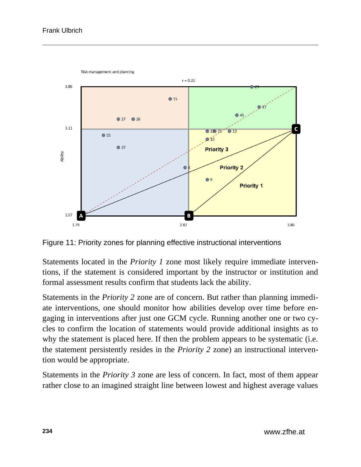![](_page_21_Figure_1.jpeg)

Figure 11: Priority zones for planning effective instructional interventions

Statements located in the *Priority 1* zone most likely require immediate interventions, if the statement is considered important by the instructor or institution and formal assessment results confirm that students lack the ability.

Statements in the *Priority 2* zone are of concern. But rather than planning immediate interventions, one should monitor how abilities develop over time before engaging in interventions after just one GCM cycle. Running another one or two cycles to confirm the location of statements would provide additional insights as to why the statement is placed here. If then the problem appears to be systematic (i.e. the statement persistently resides in the *Priority 2* zone) an instructional intervention would be appropriate.

Statements in the *Priority 3* zone are less of concern. In fact, most of them appear rather close to an imagined straight line between lowest and highest average values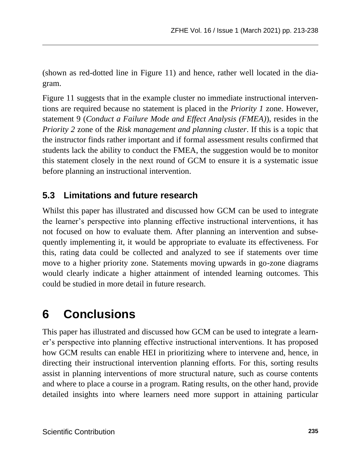(shown as red-dotted line in Figure 11) and hence, rather well located in the diagram.

Figure 11 suggests that in the example cluster no immediate instructional interventions are required because no statement is placed in the *Priority 1* zone. However, statement 9 (*Conduct a Failure Mode and Effect Analysis (FMEA)*), resides in the *Priority 2* zone of the *Risk management and planning cluster*. If this is a topic that the instructor finds rather important and if formal assessment results confirmed that students lack the ability to conduct the FMEA, the suggestion would be to monitor this statement closely in the next round of GCM to ensure it is a systematic issue before planning an instructional intervention.

### **5.3 Limitations and future research**

Whilst this paper has illustrated and discussed how GCM can be used to integrate the learner's perspective into planning effective instructional interventions, it has not focused on how to evaluate them. After planning an intervention and subsequently implementing it, it would be appropriate to evaluate its effectiveness. For this, rating data could be collected and analyzed to see if statements over time move to a higher priority zone. Statements moving upwards in go-zone diagrams would clearly indicate a higher attainment of intended learning outcomes. This could be studied in more detail in future research.

## **6 Conclusions**

This paper has illustrated and discussed how GCM can be used to integrate a learner's perspective into planning effective instructional interventions. It has proposed how GCM results can enable HEI in prioritizing where to intervene and, hence, in directing their instructional intervention planning efforts. For this, sorting results assist in planning interventions of more structural nature, such as course contents and where to place a course in a program. Rating results, on the other hand, provide detailed insights into where learners need more support in attaining particular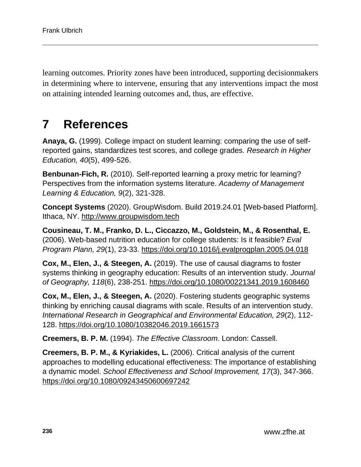learning outcomes. Priority zones have been introduced, supporting decisionmakers in determining where to intervene, ensuring that any interventions impact the most on attaining intended learning outcomes and, thus, are effective.

## **7 References**

**Anaya, G.** (1999). College impact on student learning: comparing the use of selfreported gains, standardizes test scores, and college grades. *Research in Higher Education, 40*(5), 499-526.

**Benbunan-Fich, R.** (2010). Self-reported learning a proxy metric for learning? Perspectives from the information systems literature. *Academy of Management Learning & Education, 9*(2), 321-328.

**Concept Systems** (2020). GroupWisdom. Build 2019.24.01 [Web-based Platform]. Ithaca, NY. [http://www.groupwisdom.tech](http://www.groupwisdom.tech/)

**Cousineau, T. M., Franko, D. L., Ciccazzo, M., Goldstein, M., & Rosenthal, E.** (2006). Web-based nutrition education for college students: Is it feasible? *Eval Program Plann, 29*(1), 23-33.<https://doi.org/10.1016/j.evalprogplan.2005.04.018>

**Cox, M., Elen, J., & Steegen, A.** (2019). The use of causal diagrams to foster systems thinking in geography education: Results of an intervention study. *Journal of Geography, 118*(6), 238-251.<https://doi.org/10.1080/00221341.2019.1608460>

**Cox, M., Elen, J., & Steegen, A.** (2020). Fostering students geographic systems thinking by enriching causal diagrams with scale. Results of an intervention study. *International Research in Geographical and Environmental Education, 29*(2), 112- 128.<https://doi.org/10.1080/10382046.2019.1661573>

**Creemers, B. P. M.** (1994). *The Effective Classroom*. London: Cassell.

**Creemers, B. P. M., & Kyriakides, L.** (2006). Critical analysis of the current approaches to modelling educational effectiveness: The importance of establishing a dynamic model. *School Effectiveness and School Improvement, 17*(3), 347-366. <https://doi.org/10.1080/09243450600697242>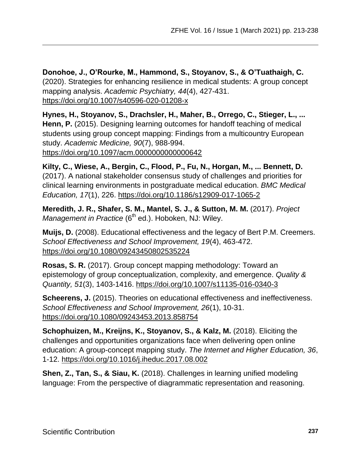**Donohoe, J., O'Rourke, M., Hammond, S., Stoyanov, S., & O'Tuathaigh, C.** (2020). Strategies for enhancing resilience in medical students: A group concept mapping analysis. *Academic Psychiatry, 44*(4), 427-431. <https://doi.org/10.1007/s40596-020-01208-x>

**Hynes, H., Stoyanov, S., Drachsler, H., Maher, B., Orrego, C., Stieger, L., ... Henn, P.** (2015). Designing learning outcomes for handoff teaching of medical students using group concept mapping: Findings from a multicountry European study. *Academic Medicine, 90*(7), 988-994. <https://doi.org/10.1097/acm.0000000000000642>

**Kilty, C., Wiese, A., Bergin, C., Flood, P., Fu, N., Horgan, M., ... Bennett, D.**  (2017). A national stakeholder consensus study of challenges and priorities for clinical learning environments in postgraduate medical education. *BMC Medical Education, 17*(1), 226.<https://doi.org/10.1186/s12909-017-1065-2>

**Meredith, J. R., Shafer, S. M., Mantel, S. J., & Sutton, M. M.** (2017). *Project*  Management in Practice (6<sup>th</sup> ed.). Hoboken, NJ: Wiley.

**Muijs, D.** (2008). Educational effectiveness and the legacy of Bert P.M. Creemers. *School Effectiveness and School Improvement, 19*(4), 463-472. <https://doi.org/10.1080/09243450802535224>

**Rosas, S. R.** (2017). Group concept mapping methodology: Toward an epistemology of group conceptualization, complexity, and emergence. *Quality & Quantity, 51*(3), 1403-1416.<https://doi.org/10.1007/s11135-016-0340-3>

**Scheerens, J.** (2015). Theories on educational effectiveness and ineffectiveness. *School Effectiveness and School Improvement, 26*(1), 10-31. <https://doi.org/10.1080/09243453.2013.858754>

**Schophuizen, M., Kreijns, K., Stoyanov, S., & Kalz, M.** (2018). Eliciting the challenges and opportunities organizations face when delivering open online education: A group-concept mapping study. *The Internet and Higher Education, 36*, 1-12.<https://doi.org/10.1016/j.iheduc.2017.08.002>

**Shen, Z., Tan, S., & Siau, K.** (2018). Challenges in learning unified modeling language: From the perspective of diagrammatic representation and reasoning.